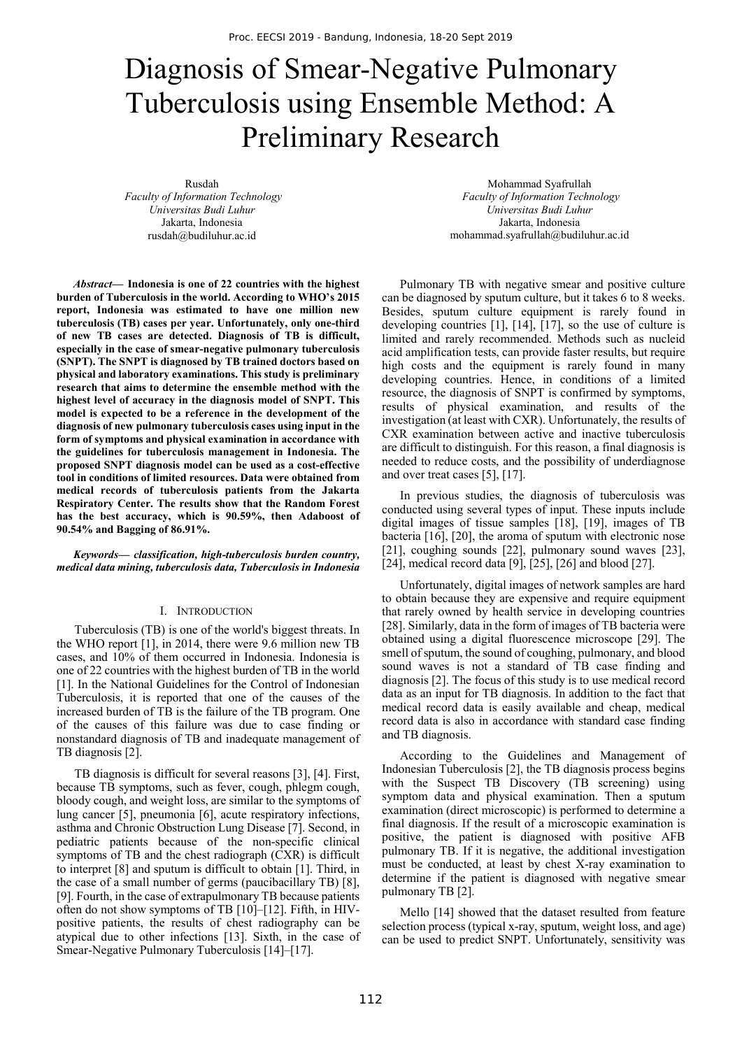# Diagnosis of Smear-Negative Pulmonary Tuberculosis using Ensemble Method: A Preliminary Research

Rusdah  *Faculty of Information Technology Universitas Budi Luhur*  Jakarta, Indonesia rusdah@budiluhur.ac.id

Mohammad Syafrullah  *Faculty of Information Technology Universitas Budi Luhur*  Jakarta, Indonesia mohammad.syafrullah@budiluhur.ac.id

*Abstract***— Indonesia is one of 22 countries with the highest burden of Tuberculosis in the world. According to WHO's 2015 report, Indonesia was estimated to have one million new tuberculosis (TB) cases per year. Unfortunately, only one-third of new TB cases are detected. Diagnosis of TB is difficult, especially in the case of smear-negative pulmonary tuberculosis (SNPT). The SNPT is diagnosed by TB trained doctors based on physical and laboratory examinations. This study is preliminary research that aims to determine the ensemble method with the highest level of accuracy in the diagnosis model of SNPT. This model is expected to be a reference in the development of the diagnosis of new pulmonary tuberculosis cases using input in the form of symptoms and physical examination in accordance with the guidelines for tuberculosis management in Indonesia. The proposed SNPT diagnosis model can be used as a cost-effective tool in conditions of limited resources. Data were obtained from medical records of tuberculosis patients from the Jakarta Respiratory Center. The results show that the Random Forest has the best accuracy, which is 90.59%, then Adaboost of 90.54% and Bagging of 86.91%.** 

*Keywords— classification, high-tuberculosis burden country, medical data mining, tuberculosis data, Tuberculosis in Indonesia* 

## I. INTRODUCTION

Tuberculosis (TB) is one of the world's biggest threats. In the WHO report [1], in 2014, there were 9.6 million new TB cases, and 10% of them occurred in Indonesia. Indonesia is one of 22 countries with the highest burden of TB in the world [1]. In the National Guidelines for the Control of Indonesian Tuberculosis, it is reported that one of the causes of the increased burden of TB is the failure of the TB program. One of the causes of this failure was due to case finding or nonstandard diagnosis of TB and inadequate management of TB diagnosis [2].

TB diagnosis is difficult for several reasons [3], [4]. First, because TB symptoms, such as fever, cough, phlegm cough, bloody cough, and weight loss, are similar to the symptoms of lung cancer [5], pneumonia [6], acute respiratory infections, asthma and Chronic Obstruction Lung Disease [7]. Second, in pediatric patients because of the non-specific clinical symptoms of TB and the chest radiograph (CXR) is difficult to interpret [8] and sputum is difficult to obtain [1]. Third, in the case of a small number of germs (paucibacillary TB) [8], [9]. Fourth, in the case of extrapulmonary TB because patients often do not show symptoms of TB [10]–[12]. Fifth, in HIVpositive patients, the results of chest radiography can be atypical due to other infections [13]. Sixth, in the case of Smear-Negative Pulmonary Tuberculosis [14]–[17].

Pulmonary TB with negative smear and positive culture can be diagnosed by sputum culture, but it takes 6 to 8 weeks. Besides, sputum culture equipment is rarely found in developing countries [1], [14], [17], so the use of culture is limited and rarely recommended. Methods such as nucleid acid amplification tests, can provide faster results, but require high costs and the equipment is rarely found in many developing countries. Hence, in conditions of a limited resource, the diagnosis of SNPT is confirmed by symptoms, results of physical examination, and results of the investigation (at least with CXR). Unfortunately, the results of CXR examination between active and inactive tuberculosis are difficult to distinguish. For this reason, a final diagnosis is needed to reduce costs, and the possibility of underdiagnose and over treat cases [5], [17].

In previous studies, the diagnosis of tuberculosis was conducted using several types of input. These inputs include digital images of tissue samples [18], [19], images of TB bacteria [16], [20], the aroma of sputum with electronic nose [21], coughing sounds [22], pulmonary sound waves [23],  $[24]$ , medical record data  $[9]$ ,  $[25]$ ,  $[26]$  and blood  $[27]$ .

Unfortunately, digital images of network samples are hard to obtain because they are expensive and require equipment that rarely owned by health service in developing countries [28]. Similarly, data in the form of images of TB bacteria were obtained using a digital fluorescence microscope [29]. The smell of sputum, the sound of coughing, pulmonary, and blood sound waves is not a standard of TB case finding and diagnosis [2]. The focus of this study is to use medical record data as an input for TB diagnosis. In addition to the fact that medical record data is easily available and cheap, medical record data is also in accordance with standard case finding and TB diagnosis.

According to the Guidelines and Management of Indonesian Tuberculosis [2], the TB diagnosis process begins with the Suspect TB Discovery (TB screening) using symptom data and physical examination. Then a sputum examination (direct microscopic) is performed to determine a final diagnosis. If the result of a microscopic examination is positive, the patient is diagnosed with positive AFB pulmonary TB. If it is negative, the additional investigation must be conducted, at least by chest X-ray examination to determine if the patient is diagnosed with negative smear pulmonary TB [2].

Mello [14] showed that the dataset resulted from feature selection process (typical x-ray, sputum, weight loss, and age) can be used to predict SNPT. Unfortunately, sensitivity was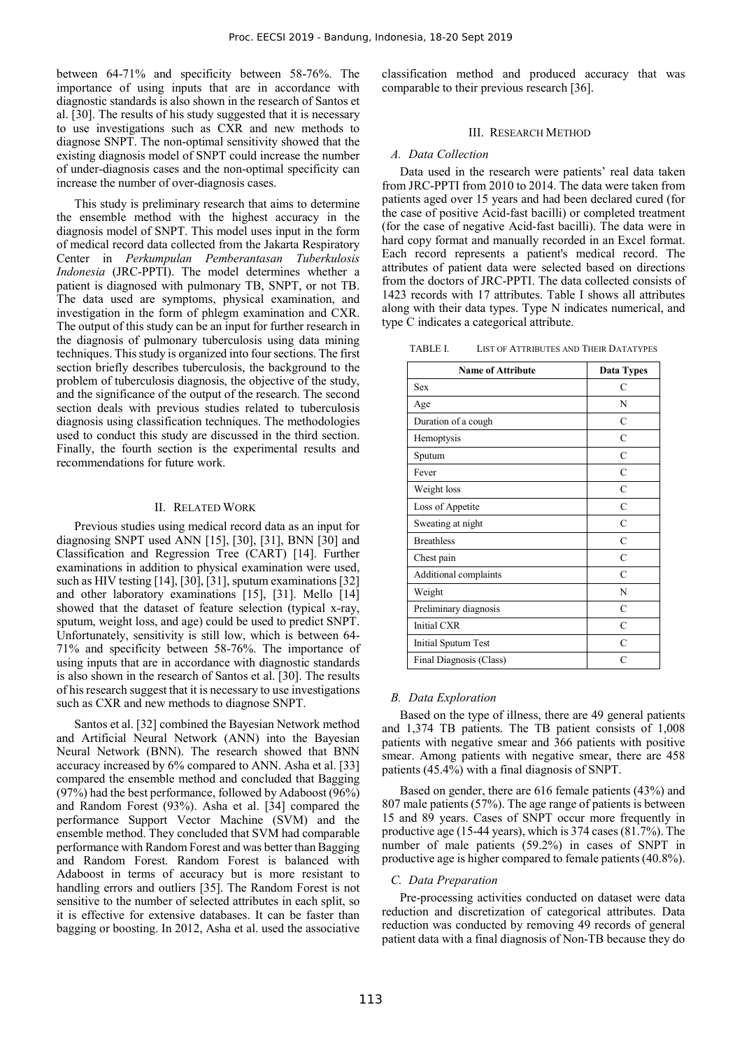between 64-71% and specificity between 58-76%. The importance of using inputs that are in accordance with diagnostic standards is also shown in the research of Santos et al. [30]. The results of his study suggested that it is necessary to use investigations such as CXR and new methods to diagnose SNPT. The non-optimal sensitivity showed that the existing diagnosis model of SNPT could increase the number of under-diagnosis cases and the non-optimal specificity can increase the number of over-diagnosis cases.

This study is preliminary research that aims to determine the ensemble method with the highest accuracy in the diagnosis model of SNPT. This model uses input in the form of medical record data collected from the Jakarta Respiratory Center in *Perkumpulan Pemberantasan Tuberkulosis Indonesia* (JRC-PPTI). The model determines whether a patient is diagnosed with pulmonary TB, SNPT, or not TB. The data used are symptoms, physical examination, and investigation in the form of phlegm examination and CXR. The output of this study can be an input for further research in the diagnosis of pulmonary tuberculosis using data mining techniques. This study is organized into four sections. The first section briefly describes tuberculosis, the background to the problem of tuberculosis diagnosis, the objective of the study, and the significance of the output of the research. The second section deals with previous studies related to tuberculosis diagnosis using classification techniques. The methodologies used to conduct this study are discussed in the third section. Finally, the fourth section is the experimental results and recommendations for future work.

# II. RELATED WORK

Previous studies using medical record data as an input for diagnosing SNPT used ANN [15], [30], [31], BNN [30] and Classification and Regression Tree (CART) [14]. Further examinations in addition to physical examination were used, such as HIV testing [14], [30], [31], sputum examinations [321] and other laboratory examinations [15], [31]. Mello [14] showed that the dataset of feature selection (typical x-ray, sputum, weight loss, and age) could be used to predict SNPT. Unfortunately, sensitivity is still low, which is between 64- 71% and specificity between 58-76%. The importance of using inputs that are in accordance with diagnostic standards is also shown in the research of Santos et al. [30]. The results of his research suggest that it is necessary to use investigations such as CXR and new methods to diagnose SNPT.

Santos et al. [32] combined the Bayesian Network method and Artificial Neural Network (ANN) into the Bayesian Neural Network (BNN). The research showed that BNN accuracy increased by 6% compared to ANN. Asha et al. [33] compared the ensemble method and concluded that Bagging (97%) had the best performance, followed by Adaboost (96%) and Random Forest (93%). Asha et al. [34] compared the performance Support Vector Machine (SVM) and the ensemble method. They concluded that SVM had comparable performance with Random Forest and was better than Bagging and Random Forest. Random Forest is balanced with Adaboost in terms of accuracy but is more resistant to handling errors and outliers [35]. The Random Forest is not sensitive to the number of selected attributes in each split, so it is effective for extensive databases. It can be faster than bagging or boosting. In 2012, Asha et al. used the associative

classification method and produced accuracy that was comparable to their previous research [36].

## III. RESEARCH METHOD

#### *A. Data Collection*

Data used in the research were patients' real data taken from JRC-PPTI from 2010 to 2014. The data were taken from patients aged over 15 years and had been declared cured (for the case of positive Acid-fast bacilli) or completed treatment (for the case of negative Acid-fast bacilli). The data were in hard copy format and manually recorded in an Excel format. Each record represents a patient's medical record. The attributes of patient data were selected based on directions from the doctors of JRC-PPTI. The data collected consists of 1423 records with 17 attributes. Table I shows all attributes along with their data types. Type N indicates numerical, and type C indicates a categorical attribute.

TABLE I. LIST OF ATTRIBUTES AND THEIR DATATYPES

| <b>Name of Attribute</b> | <b>Data Types</b> |
|--------------------------|-------------------|
| <b>Sex</b>               | C                 |
| Age                      | N                 |
| Duration of a cough      | $\mathcal{C}$     |
| Hemoptysis               | $\mathcal{C}$     |
| Sputum                   | C                 |
| Fever                    | $\mathcal{C}$     |
| Weight loss              | $\mathcal{C}$     |
| Loss of Appetite         | C                 |
| Sweating at night        | C                 |
| <b>Breathless</b>        | $\mathcal{C}$     |
| Chest pain               | $\mathcal{C}$     |
| Additional complaints    | $\mathcal{C}$     |
| Weight                   | N                 |
| Preliminary diagnosis    | C                 |
| <b>Initial CXR</b>       | C                 |
| Initial Sputum Test      | C                 |
| Final Diagnosis (Class)  | C                 |

### *B. Data Exploration*

Based on the type of illness, there are 49 general patients and 1,374 TB patients. The TB patient consists of 1,008 patients with negative smear and 366 patients with positive smear. Among patients with negative smear, there are 458 patients (45.4%) with a final diagnosis of SNPT.

Based on gender, there are 616 female patients (43%) and 807 male patients (57%). The age range of patients is between 15 and 89 years. Cases of SNPT occur more frequently in productive age (15-44 years), which is 374 cases (81.7%). The number of male patients (59.2%) in cases of SNPT in productive age is higher compared to female patients (40.8%).

## *C. Data Preparation*

Pre-processing activities conducted on dataset were data reduction and discretization of categorical attributes. Data reduction was conducted by removing 49 records of general patient data with a final diagnosis of Non-TB because they do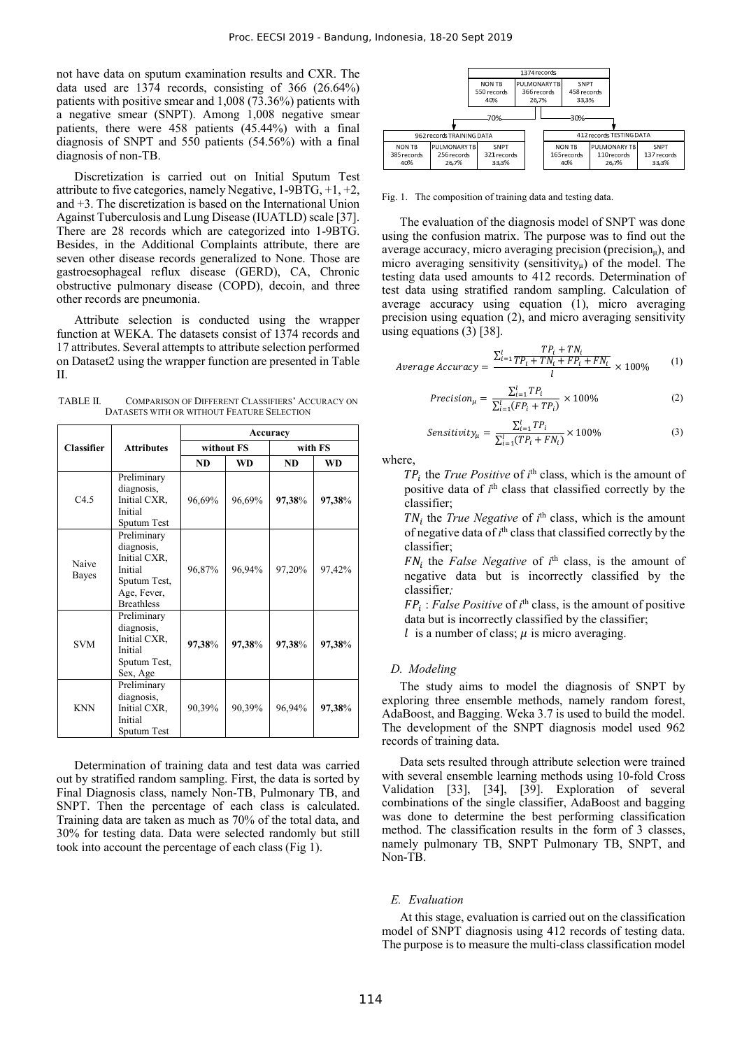not have data on sputum examination results and CXR. The data used are 1374 records, consisting of 366 (26.64%) patients with positive smear and 1,008 (73.36%) patients with a negative smear (SNPT). Among 1,008 negative smear patients, there were 458 patients (45.44%) with a final diagnosis of SNPT and 550 patients (54.56%) with a final diagnosis of non-TB.

Discretization is carried out on Initial Sputum Test attribute to five categories, namely Negative, 1-9BTG, +1, +2, and +3. The discretization is based on the International Union Against Tuberculosis and Lung Disease (IUATLD) scale [37]. There are 28 records which are categorized into 1-9BTG. Besides, in the Additional Complaints attribute, there are seven other disease records generalized to None. Those are gastroesophageal reflux disease (GERD), CA, Chronic obstructive pulmonary disease (COPD), decoin, and three other records are pneumonia.

Attribute selection is conducted using the wrapper function at WEKA. The datasets consist of 1374 records and 17 attributes. Several attempts to attribute selection performed on Dataset2 using the wrapper function are presented in Table  $II$ 

TABLE II. COMPARISON OF DIFFERENT CLASSIFIERS' ACCURACY ON DATASETS WITH OR WITHOUT FEATURE SELECTION

|                   |                                                                                                          | Accuracy   |           |           |           |
|-------------------|----------------------------------------------------------------------------------------------------------|------------|-----------|-----------|-----------|
| <b>Classifier</b> | <b>Attributes</b>                                                                                        | without FS |           | with FS   |           |
|                   |                                                                                                          | <b>ND</b>  | <b>WD</b> | <b>ND</b> | <b>WD</b> |
| C4.5              | Preliminary<br>diagnosis,<br>Initial CXR,<br>Initial<br>Sputum Test                                      | 96,69%     | 96,69%    | 97,38%    | 97,38%    |
| Naive<br>Bayes    | Preliminary<br>diagnosis,<br>Initial CXR,<br>Initial<br>Sputum Test,<br>Age, Fever,<br><b>Breathless</b> | 96,87%     | 96,94%    | 97,20%    | 97,42%    |
| <b>SVM</b>        | Preliminary<br>diagnosis,<br>Initial CXR,<br>Initial<br>Sputum Test,<br>Sex, Age                         | 97,38%     | 97,38%    | 97,38%    | 97,38%    |
| <b>KNN</b>        | Preliminary<br>diagnosis,<br>Initial CXR,<br>Initial<br>Sputum Test                                      | 90,39%     | 90,39%    | 96,94%    | 97,38%    |

Determination of training data and test data was carried out by stratified random sampling. First, the data is sorted by Final Diagnosis class, namely Non-TB, Pulmonary TB, and SNPT. Then the percentage of each class is calculated. Training data are taken as much as 70% of the total data, and 30% for testing data. Data were selected randomly but still took into account the percentage of each class (Fig 1).



Fig. 1. The composition of training data and testing data.

The evaluation of the diagnosis model of SNPT was done using the confusion matrix. The purpose was to find out the average accuracy, micro averaging precision (precision $_{\mu}$ ), and micro averaging sensitivity (sensitivity $\mu$ ) of the model. The testing data used amounts to 412 records. Determination of test data using stratified random sampling. Calculation of average accuracy using equation (1), micro averaging precision using equation (2), and micro averaging sensitivity using equations (3) [38].

$$
Average Accuracy = \frac{\sum_{i=1}^{l} \frac{TP_i + TN_i}{TP_i + FN_i + FP_i + FN_i}}{l} \times 100\% \tag{1}
$$

$$
Precision_{\mu} = \frac{\sum_{i=1}^{I} TP_i}{\sum_{i=1}^{I} (FP_i + TP_i)} \times 100\%
$$
 (2)

$$
Sensitivity_{\mu} = \frac{\sum_{i=1}^{l} TP_i}{\sum_{i=1}^{l} (TP_i + FN_i)} \times 100\%
$$
\n(3)

where,

 $TP_i$  the *True Positive* of  $i^{\text{th}}$  class, which is the amount of positive data of *i*<sup>th</sup> class that classified correctly by the classifier;

TN<sub>i</sub> the *True Negative* of *i*<sup>th</sup> class, which is the amount of negative data of  $i<sup>th</sup>$  class that classified correctly by the classifier;

 $FN_i$  the *False Negative* of  $i<sup>th</sup>$  class, is the amount of negative data but is incorrectly classified by the classifier*;*

ܨܲ : *False Positive* of *i*th class, is the amount of positive data but is incorrectly classified by the classifier;

 $l$  is a number of class;  $\mu$  is micro averaging.

### *D. Modeling*

The study aims to model the diagnosis of SNPT by exploring three ensemble methods, namely random forest, AdaBoost, and Bagging. Weka 3.7 is used to build the model. The development of the SNPT diagnosis model used 962 records of training data.

Data sets resulted through attribute selection were trained with several ensemble learning methods using 10-fold Cross Validation [33], [34], [39]. Exploration of several combinations of the single classifier, AdaBoost and bagging was done to determine the best performing classification method. The classification results in the form of 3 classes, namely pulmonary TB, SNPT Pulmonary TB, SNPT, and Non-TB.

#### *E. Evaluation*

At this stage, evaluation is carried out on the classification model of SNPT diagnosis using 412 records of testing data. The purpose is to measure the multi-class classification model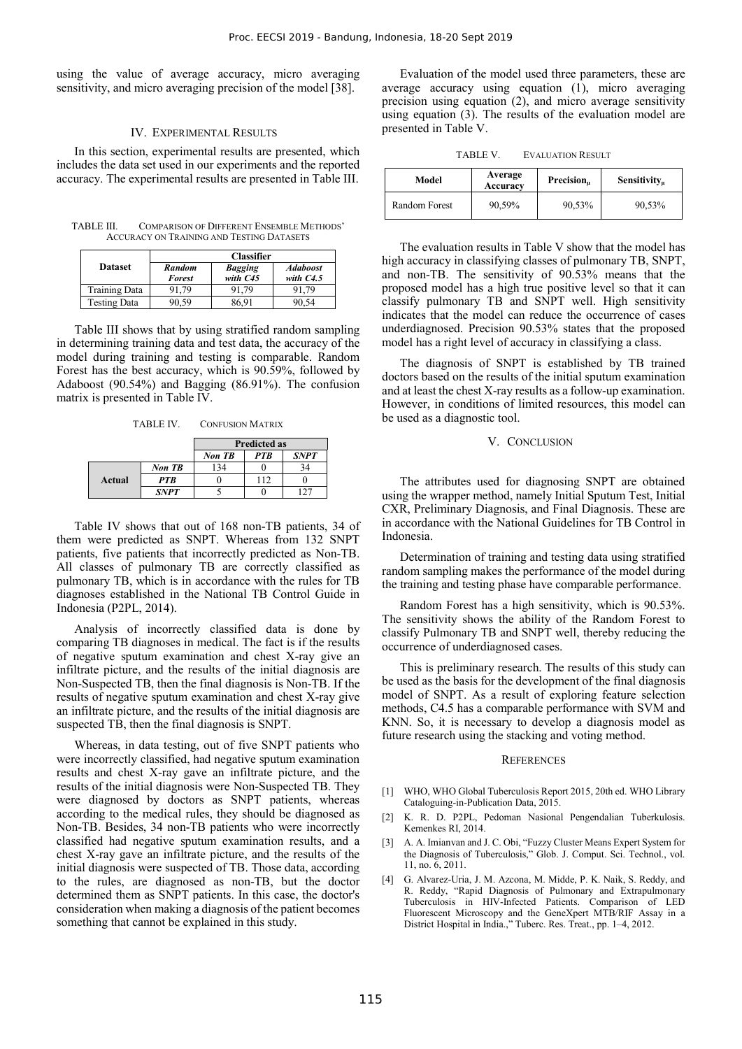using the value of average accuracy, micro averaging sensitivity, and micro averaging precision of the model [38].

# IV. EXPERIMENTAL RESULTS

In this section, experimental results are presented, which includes the data set used in our experiments and the reported accuracy. The experimental results are presented in Table III.

TABLE III. COMPARISON OF DIFFERENT ENSEMBLE METHODS' ACCURACY ON TRAINING AND TESTING DATASETS

|                     | <b>Classifier</b>              |                              |                                |  |
|---------------------|--------------------------------|------------------------------|--------------------------------|--|
| <b>Dataset</b>      | <b>Random</b><br><b>Forest</b> | <b>Bagging</b><br>with $C45$ | <b>Adaboost</b><br>with $C4.5$ |  |
| Training Data       | 91,79                          | 91.79                        | 91.79                          |  |
| <b>Testing Data</b> | )0.59                          | 86.91                        |                                |  |

Table III shows that by using stratified random sampling in determining training data and test data, the accuracy of the model during training and testing is comparable. Random Forest has the best accuracy, which is 90.59%, followed by Adaboost (90.54%) and Bagging (86.91%). The confusion matrix is presented in Table IV.

TABLE IV. CONFUSION MATRIX

|        |             | <b>Predicted as</b> |            |             |
|--------|-------------|---------------------|------------|-------------|
|        |             | Non TB              | <b>PTB</b> | <b>SNPT</b> |
| Actual | Non TB      | 34                  |            | 34          |
|        | <b>PTB</b>  |                     | 112        |             |
|        | <b>SNPT</b> |                     |            |             |

Table IV shows that out of 168 non-TB patients, 34 of them were predicted as SNPT. Whereas from 132 SNPT patients, five patients that incorrectly predicted as Non-TB. All classes of pulmonary TB are correctly classified as pulmonary TB, which is in accordance with the rules for TB diagnoses established in the National TB Control Guide in Indonesia (P2PL, 2014).

Analysis of incorrectly classified data is done by comparing TB diagnoses in medical. The fact is if the results of negative sputum examination and chest X-ray give an infiltrate picture, and the results of the initial diagnosis are Non-Suspected TB, then the final diagnosis is Non-TB. If the results of negative sputum examination and chest X-ray give an infiltrate picture, and the results of the initial diagnosis are suspected TB, then the final diagnosis is SNPT.

Whereas, in data testing, out of five SNPT patients who were incorrectly classified, had negative sputum examination results and chest X-ray gave an infiltrate picture, and the results of the initial diagnosis were Non-Suspected TB. They were diagnosed by doctors as SNPT patients, whereas according to the medical rules, they should be diagnosed as Non-TB. Besides, 34 non-TB patients who were incorrectly classified had negative sputum examination results, and a chest X-ray gave an infiltrate picture, and the results of the initial diagnosis were suspected of TB. Those data, according to the rules, are diagnosed as non-TB, but the doctor determined them as SNPT patients. In this case, the doctor's consideration when making a diagnosis of the patient becomes something that cannot be explained in this study.

Evaluation of the model used three parameters, these are average accuracy using equation (1), micro averaging precision using equation (2), and micro average sensitivity using equation (3). The results of the evaluation model are presented in Table V.

TABLE V. EVALUATION RESULT

| Model         | Average<br>Accuracy | Precision <sub>u</sub> | Sensitivity <sub>u</sub> |
|---------------|---------------------|------------------------|--------------------------|
| Random Forest | 90,59%              | 90,53%                 | 90,53%                   |

The evaluation results in Table V show that the model has high accuracy in classifying classes of pulmonary TB, SNPT, and non-TB. The sensitivity of 90.53% means that the proposed model has a high true positive level so that it can classify pulmonary TB and SNPT well. High sensitivity indicates that the model can reduce the occurrence of cases underdiagnosed. Precision 90.53% states that the proposed model has a right level of accuracy in classifying a class.

The diagnosis of SNPT is established by TB trained doctors based on the results of the initial sputum examination and at least the chest X-ray results as a follow-up examination. However, in conditions of limited resources, this model can be used as a diagnostic tool.

# V. CONCLUSION

The attributes used for diagnosing SNPT are obtained using the wrapper method, namely Initial Sputum Test, Initial CXR, Preliminary Diagnosis, and Final Diagnosis. These are in accordance with the National Guidelines for TB Control in Indonesia.

Determination of training and testing data using stratified random sampling makes the performance of the model during the training and testing phase have comparable performance.

Random Forest has a high sensitivity, which is 90.53%. The sensitivity shows the ability of the Random Forest to classify Pulmonary TB and SNPT well, thereby reducing the occurrence of underdiagnosed cases.

This is preliminary research. The results of this study can be used as the basis for the development of the final diagnosis model of SNPT. As a result of exploring feature selection methods, C4.5 has a comparable performance with SVM and KNN. So, it is necessary to develop a diagnosis model as future research using the stacking and voting method.

#### **REFERENCES**

- [1] WHO, WHO Global Tuberculosis Report 2015, 20th ed. WHO Library Cataloguing-in-Publication Data, 2015.
- [2] K. R. D. P2PL, Pedoman Nasional Pengendalian Tuberkulosis. Kemenkes RI, 2014.
- [3] A. A. Imianvan and J. C. Obi, "Fuzzy Cluster Means Expert System for the Diagnosis of Tuberculosis," Glob. J. Comput. Sci. Technol., vol. 11, no. 6, 2011.
- [4] G. Alvarez-Uria, J. M. Azcona, M. Midde, P. K. Naik, S. Reddy, and R. Reddy, "Rapid Diagnosis of Pulmonary and Extrapulmonary Tuberculosis in HIV-Infected Patients. Comparison of LED Fluorescent Microscopy and the GeneXpert MTB/RIF Assay in a District Hospital in India.," Tuberc. Res. Treat., pp. 1–4, 2012.